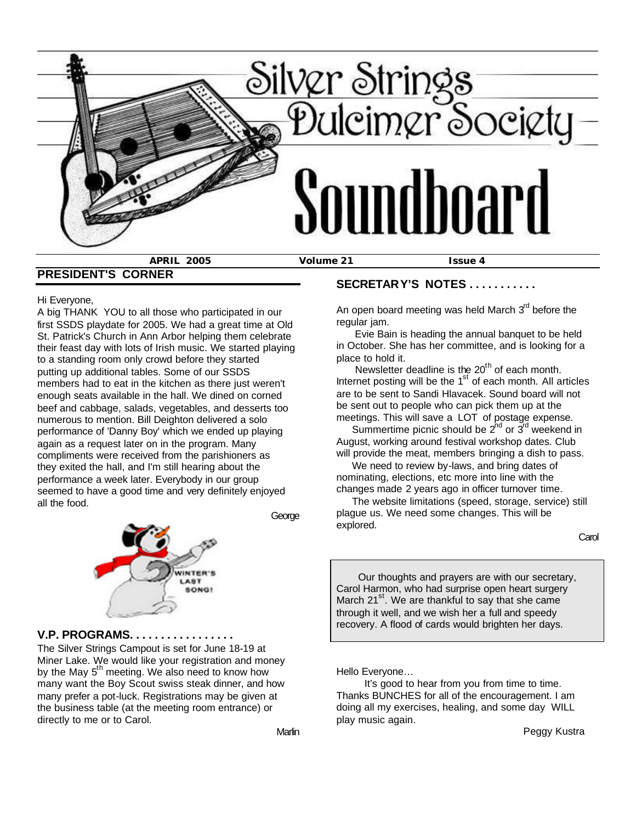

**PRESIDENT'S CORNER**

#### Hi Everyone,

A big THANK YOU to all those who participated in our first SSDS playdate for 2005. We had a great time at Old St. Patrick's Church in Ann Arbor helping them celebrate their feast day with lots of Irish music. We started playing to a standing room only crowd before they started putting up additional tables. Some of our SSDS members had to eat in the kitchen as there just weren't enough seats available in the hall. We dined on corned beef and cabbage, salads, vegetables, and desserts too numerous to mention. Bill Deighton delivered a solo performance of 'Danny Boy' which we ended up playing again as a request later on in the program. Many compliments were received from the parishioners as they exited the hall, and I'm still hearing about the performance a week later. Everybody in our group seemed to have a good time and very definitely enjoyed all the food.



George

#### **V.P. PROGRAMS. . . . . . . . . . . . . . . . .**

The Silver Strings Campout is set for June 18-19 at Miner Lake. We would like your registration and money by the May 5<sup>th</sup> meeting. We also need to know how many want the Boy Scout swiss steak dinner, and how many prefer a pot-luck. Registrations may be given at the business table (at the meeting room entrance) or directly to me or to Carol.

# **SECRETARY'S NOTES . . . . . . . . . . .**

An open board meeting was held March  $3<sup>rd</sup>$  before the regular jam.

 Evie Bain is heading the annual banquet to be held in October. She has her committee, and is looking for a place to hold it.

Newsletter deadline is the  $20<sup>th</sup>$  of each month. Internet posting will be the  $1<sup>st</sup>$  of each month. All articles are to be sent to Sandi Hlavacek. Sound board will not be sent out to people who can pick them up at the meetings. This will save a LOT of postage expense.

Summertime picnic should be  $2^{nd}$  or  $3^{rd}$  weekend in August, working around festival workshop dates. Club will provide the meat, members bringing a dish to pass.

 We need to review by-laws, and bring dates of nominating, elections, etc more into line with the changes made 2 years ago in officer turnover time.

 The website limitations (speed, storage, service) still plague us. We need some changes. This will be explored.

**Carol Carol** Carol Carol Carol Carol Carol Carol Carol Carol Carol Carol Carol Carol Carol Carol Carol Carol Carol

 Our thoughts and prayers are with our secretary, Carol Harmon, who had surprise open heart surgery March 21 $^{\rm st}$ . We are thankful to say that she came through it well, and we wish her a full and speedy recovery. A flood of cards would brighten her days.

Hello Everyone…

 It's good to hear from you from time to time. Thanks BUNCHES for all of the encouragement. I am doing all my exercises, healing, and some day WILL play music again.

Peggy Kustra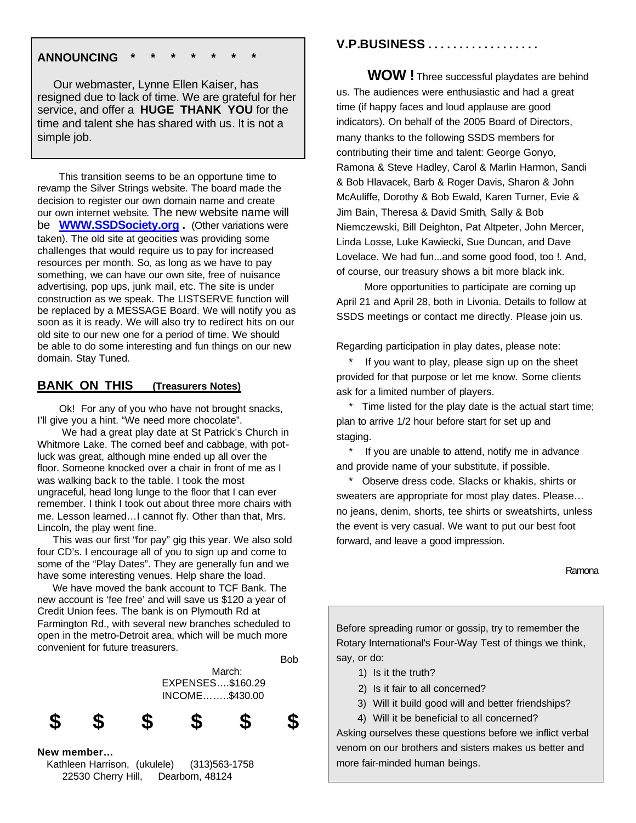## **ANNOUNCING \* \* \* \* \* \* \***

 Our webmaster, Lynne Ellen Kaiser, has resigned due to lack of time. We are grateful for her service, and offer a **HUGE THANK YOU** for the time and talent she has shared with us. It is not a simple job.

 This transition seems to be an opportune time to revamp the Silver Strings website. The board made the decision to register our own domain name and create our own internet website. The new website name will be **WWW.SSDSociety.org .** (Other variations were taken). The old site at geocities was providing some challenges that would require us to pay for increased resources per month. So, as long as we have to pay something, we can have our own site, free of nuisance advertising, pop ups, junk mail, etc. The site is under construction as we speak. The LISTSERVE function will be replaced by a MESSAGE Board. We will notify you as soon as it is ready. We will also try to redirect hits on our old site to our new one for a period of time. We should be able to do some interesting and fun things on our new domain. Stay Tuned.

# **BANK ON THIS (Treasurers Notes)**

 Ok! For any of you who have not brought snacks, I'll give you a hint. "We need more chocolate".

 We had a great play date at St Patrick's Church in Whitmore Lake. The corned beef and cabbage, with potluck was great, although mine ended up all over the floor. Someone knocked over a chair in front of me as I was walking back to the table. I took the most ungraceful, head long lunge to the floor that I can ever remember. I think I took out about three more chairs with me. Lesson learned…I cannot fly. Other than that, Mrs. Lincoln, the play went fine.

 This was our first "for pay" gig this year. We also sold four CD's. I encourage all of you to sign up and come to some of the "Play Dates". They are generally fun and we have some interesting venues. Help share the load.

 We have moved the bank account to TCF Bank. The new account is 'fee free' and will save us \$120 a year of Credit Union fees. The bank is on Plymouth Rd at Farmington Rd., with several new branches scheduled to open in the metro-Detroit area, which will be much more convenient for future treasurers.



 Kathleen Harrison, (ukulele) (313)563-1758 22530 Cherry Hill, Dearborn, 48124

# **V.P.BUSINESS . . . . . . . . . . . . . . . . . .**

 **WOW !** Three successful playdates are behind us. The audiences were enthusiastic and had a great time (if happy faces and loud applause are good indicators). On behalf of the 2005 Board of Directors, many thanks to the following SSDS members for contributing their time and talent: George Gonyo, Ramona & Steve Hadley, Carol & Marlin Harmon, Sandi & Bob Hlavacek, Barb & Roger Davis, Sharon & John McAuliffe, Dorothy & Bob Ewald, Karen Turner, Evie & Jim Bain, Theresa & David Smith, Sally & Bob Niemczewski, Bill Deighton, Pat Altpeter, John Mercer, Linda Losse, Luke Kawiecki, Sue Duncan, and Dave Lovelace. We had fun...and some good food, too !. And, of course, our treasury shows a bit more black ink.

 More opportunities to participate are coming up April 21 and April 28, both in Livonia. Details to follow at SSDS meetings or contact me directly. Please join us.

Regarding participation in play dates, please note:

If you want to play, please sign up on the sheet provided for that purpose or let me know. Some clients ask for a limited number of players.

 \* Time listed for the play date is the actual start time; plan to arrive 1/2 hour before start for set up and staging.

 \* If you are unable to attend, notify me in advance and provide name of your substitute, if possible.

 \* Observe dress code. Slacks or khakis, shirts or sweaters are appropriate for most play dates. Please… no jeans, denim, shorts, tee shirts or sweatshirts, unless the event is very casual. We want to put our best foot forward, and leave a good impression.

Ramona

Before spreading rumor or gossip, try to remember the Rotary International's Four-Way Test of things we think, say, or do:

- 1) Is it the truth?
- 2) Is it fair to all concerned?
- 3) Will it build good will and better friendships?
- 4) Will it be beneficial to all concerned?

Asking ourselves these questions before we inflict verbal venom on our brothers and sisters makes us better and more fair-minded human beings.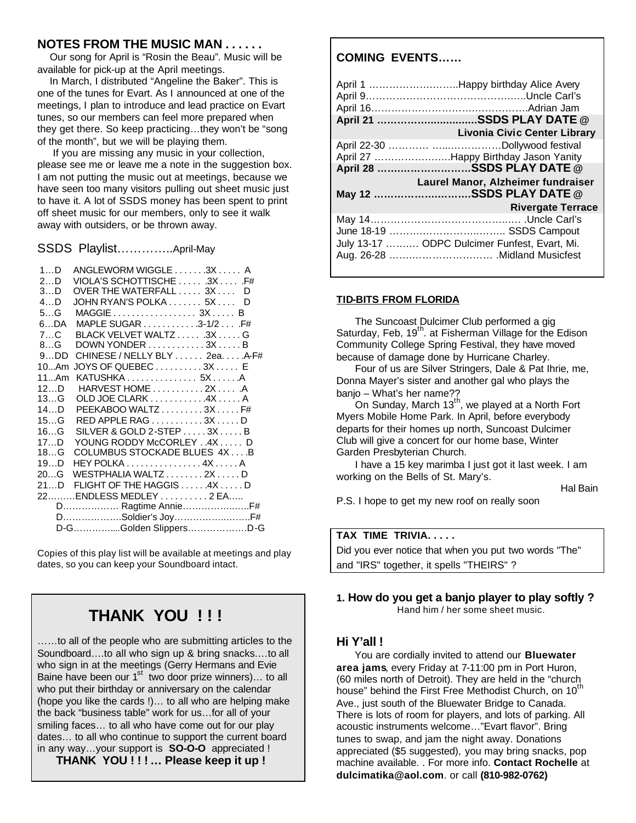## **NOTES FROM THE MUSIC MAN . . . . . .**

 Our song for April is "Rosin the Beau". Music will be available for pick-up at the April meetings.

 In March, I distributed "Angeline the Baker". This is one of the tunes for Evart. As I announced at one of the meetings, I plan to introduce and lead practice on Evart tunes, so our members can feel more prepared when they get there. So keep practicing…they won't be "song of the month", but we will be playing them.

 If you are missing any music in your collection, please see me or leave me a note in the suggestion box. I am not putting the music out at meetings, because we have seen too many visitors pulling out sheet music just to have it. A lot of SSDS money has been spent to print off sheet music for our members, only to see it walk away with outsiders, or be thrown away.

SSDS Playlist…………..April-May

| 1D       | ANGLEWORM WIGGLE 3X A                                         |     |
|----------|---------------------------------------------------------------|-----|
| 2D       | VIOLA'S SCHOTTISCHE  3X .F#                                   |     |
| 3D       | OVER THE WATERFALL $\ldots$ 3X $\ldots$ D                     |     |
| 4D       | JOHN RYAN'S POLKA 5X                                          | - D |
| 5G       |                                                               |     |
| 6DA      | MAPLE SUGAR $\ldots \ldots \ldots \ldots$ 3-1/2 $\ldots$ . F# |     |
| 7C       | BLACK VELVET WALTZ  3X  G                                     |     |
| 8G       | DOWN YONDER 3X B                                              |     |
| 9DD      | CHINESE / NELLY BLY 2ea. A-F#                                 |     |
|          | 10Am JOYS OF QUEBEC3X E                                       |     |
| 11Am     |                                                               |     |
| 12D      | HARVEST HOME 2XA                                              |     |
| 13…G     | OLD JOE CLARK 4X A                                            |     |
| 14…D     | PEEKABOO WALTZ $\ldots \ldots \ldots 3X \ldots F#$            |     |
| 15G      | RED APPLE RAG 3X D                                            |     |
| 16G      | SILVER & GOLD 2-STEP 3X B                                     |     |
| 17D      | YOUNG RODDY McCORLEY 4XD                                      |     |
| 18G      | COLUMBUS STOCKADE BLUES 4XB                                   |     |
| 19…D     | HEY POLKA $\ldots \ldots \ldots \ldots 4X \ldots A$           |     |
| 20. . G  | WESTPHALIA WALTZ $\ldots \ldots 2X \ldots D$                  |     |
| 21. . D. | FLIGHT OF THE HAGGIS $\ldots$ 4X $\ldots$ D                   |     |
|          |                                                               |     |
|          |                                                               |     |
|          | DSoldier's JoyF#                                              |     |
|          | D-GGolden SlippersD-G                                         |     |
|          |                                                               |     |

Copies of this play list will be available at meetings and play dates, so you can keep your Soundboard intact.

# **THANK YOU ! ! !**

……to all of the people who are submitting articles to the Soundboard….to all who sign up & bring snacks.…to all who sign in at the meetings (Gerry Hermans and Evie Baine have been our  $1<sup>st</sup>$  two door prize winners)... to all who put their birthday or anniversary on the calendar (hope you like the cards !)… to all who are helping make the back "business table" work for us…for all of your smiling faces… to all who have come out for our play dates… to all who continue to support the current board in any way…your support is **SO-O-O** appreciated ! **THANK YOU ! ! ! … Please keep it up !** 

# **COMING EVENTS……**

|                           | April 1 Happy birthday Alice Avery                                             |  |  |  |
|---------------------------|--------------------------------------------------------------------------------|--|--|--|
|                           | April 21 SSDS PLAY DATE @                                                      |  |  |  |
|                           | <b>Livonia Civic Center Library</b>                                            |  |  |  |
|                           | April 27 Happy Birthday Jason Yanity                                           |  |  |  |
|                           |                                                                                |  |  |  |
| April 28 SSDS PLAY DATE @ |                                                                                |  |  |  |
|                           |                                                                                |  |  |  |
|                           | Laurel Manor, Alzheimer fundraiser                                             |  |  |  |
|                           | May 12 SSDS PLAY DATE @                                                        |  |  |  |
|                           | <b>Rivergate Terrace</b>                                                       |  |  |  |
|                           |                                                                                |  |  |  |
|                           |                                                                                |  |  |  |
|                           |                                                                                |  |  |  |
|                           | July 13-17  ODPC Dulcimer Funfest, Evart, Mi.<br>Aug. 26-28  Midland Musicfest |  |  |  |

#### **TID-BITS FROM FLORIDA**

The Suncoast Dulcimer Club performed a gig Saturday, Feb, 19<sup>th</sup>. at Fisherman Village for the Edison Community College Spring Festival, they have moved because of damage done by Hurricane Charley.

Four of us are Silver Stringers, Dale & Pat Ihrie, me, Donna Mayer's sister and another gal who plays the banjo – What's her name??

On Sunday, March 13<sup>th</sup>, we played at a North Fort Myers Mobile Home Park. In April, before everybody departs for their homes up north, Suncoast Dulcimer Club will give a concert for our home base, Winter Garden Presbyterian Church.

I have a 15 key marimba I just got it last week. I am working on the Bells of St. Mary's.

Hal Bain

P.S. I hope to get my new roof on really soon

#### **TAX TIME TRIVIA. . . . .**

| Did you ever notice that when you put two words "The" |  |
|-------------------------------------------------------|--|
| and "IRS" together, it spells "THEIRS" ?              |  |

#### **1. How do you get a banjo player to play softly ?** Hand him / her some sheet music.

# **Hi Y'all !**

 You are cordially invited to attend our **Bluewater area jams**, every Friday at 7-11:00 pm in Port Huron, (60 miles north of Detroit). They are held in the "church house" behind the First Free Methodist Church, on 10<sup>th</sup> Ave., just south of the Bluewater Bridge to Canada. There is lots of room for players, and lots of parking. All acoustic instruments welcome…"Evart flavor". Bring tunes to swap, and jam the night away. Donations appreciated (\$5 suggested), you may bring snacks, pop machine available. . For more info. **Contact Rochelle** at **dulcimatika@aol.com**. or call **(810-982-0762)**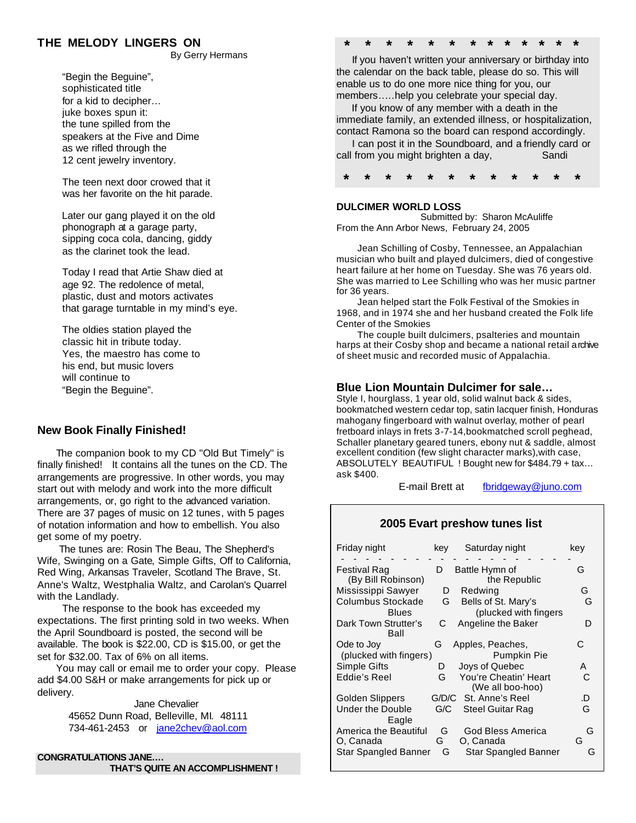# **THE MELODY LINGERS ON**

By Gerry Hermans

 "Begin the Beguine", sophisticated title for a kid to decipher… juke boxes spun it: the tune spilled from the speakers at the Five and Dime as we rifled through the 12 cent jewelry inventory.

 The teen next door crowed that it was her favorite on the hit parade.

 Later our gang played it on the old phonograph at a garage party, sipping coca cola, dancing, giddy as the clarinet took the lead.

 Today I read that Artie Shaw died at age 92. The redolence of metal, plastic, dust and motors activates that garage turntable in my mind's eye.

 The oldies station played the classic hit in tribute today. Yes, the maestro has come to his end, but music lovers will continue to "Begin the Beguine".

## **New Book Finally Finished!**

 The companion book to my CD "Old But Timely" is finally finished! It contains all the tunes on the CD. The arrangements are progressive. In other words, you may start out with melody and work into the more difficult arrangements, or, go right to the advanced variation. There are 37 pages of music on 12 tunes, with 5 pages of notation information and how to embellish. You also get some of my poetry.

 The tunes are: Rosin The Beau, The Shepherd's Wife, Swinging on a Gate, Simple Gifts, Off to California, Red Wing, Arkansas Traveler, Scotland The Brave, St. Anne's Waltz, Westphalia Waltz, and Carolan's Quarrel with the Landlady.

 The response to the book has exceeded my expectations. The first printing sold in two weeks. When the April Soundboard is posted, the second will be available. The book is \$22.00, CD is \$15.00, or get the set for \$32.00. Tax of 6% on all items.

 You may call or email me to order your copy. Please add \$4.00 S&H or make arrangements for pick up or delivery.

> Jane Chevalier 45652 Dunn Road, Belleville, MI. 48111 734-461-2453 or jane2chev@aol.com

**CONGRATULATIONS JANE…. THAT'S QUITE AN ACCOMPLISHMENT !**

# **\* \* \* \* \* \* \* \* \* \* \* \* \***

 If you haven't written your anniversary or birthday into the calendar on the back table, please do so. This will enable us to do one more nice thing for you, our members..…help you celebrate your special day.

 If you know of any member with a death in the immediate family, an extended illness, or hospitalization, contact Ramona so the board can respond accordingly.

 I can post it in the Soundboard, and a friendly card or call from you might brighten a day, Sandi

 **\* \* \* \* \* \* \* \* \* \* \* \***

# **DULCIMER WORLD LOSS**

 Submitted by: Sharon McAuliffe From the Ann Arbor News, February 24, 2005

 Jean Schilling of Cosby, Tennessee, an Appalachian musician who built and played dulcimers, died of congestive heart failure at her home on Tuesday. She was 76 years old. She was married to Lee Schilling who was her music partner for 36 years.

 Jean helped start the Folk Festival of the Smokies in 1968, and in 1974 she and her husband created the Folk life Center of the Smokies

 The couple built dulcimers, psalteries and mountain harps at their Cosby shop and became a national retail archive of sheet music and recorded music of Appalachia.

# **Blue Lion Mountain Dulcimer for sale…**

Style I, hourglass, 1 year old, solid walnut back & sides, bookmatched western cedar top, satin lacquer finish, Honduras mahogany fingerboard with walnut overlay, mother of pearl fretboard inlays in frets 3-7-14,bookmatched scroll peghead, Schaller planetary geared tuners, ebony nut & saddle, almost excellent condition (few slight character marks),with case, ABSOLUTELY BEAUTIFUL ! Bought new for \$484.79 + tax… ask \$400.

E-mail Brett at fbridgeway@juno.com

# **2005 Evart preshow tunes list**

| Friday night                         | kev    | Saturday night                               | kev    |
|--------------------------------------|--------|----------------------------------------------|--------|
| Festival Rag<br>(By Bill Robinson)   | D      | Battle Hymn of<br>the Republic               | G      |
| Mississippi Sawyer                   | D      | Redwing                                      | G.     |
| Columbus Stockade<br><b>Blues</b>    | G      | Bells of St. Mary's<br>(plucked with fingers | G      |
| Dark Town Strutter's<br>Ball         | С      | Angeline the Baker                           | D      |
| Ode to Joy<br>(plucked with fingers) | G      | Apples, Peaches,<br><b>Pumpkin Pie</b>       | C      |
| Simple Gifts                         | D      | Joys of Quebec                               | A      |
| Eddie's Reel                         | G      | You're Cheatin' Heart<br>(We all boo-hoo)    | C      |
| Golden Slippers                      |        | G/D/C St. Anne's Reel                        | .D     |
| Under the Double<br>Eagle            | G/C    | <b>Steel Guitar Rag</b>                      | G      |
| America the Beautiful<br>O, Canada   | G<br>G | God Bless America<br>O, Canada               | G<br>G |
| Star Spangled Banner                 | G      | <b>Star Spangled Banner</b>                  | G      |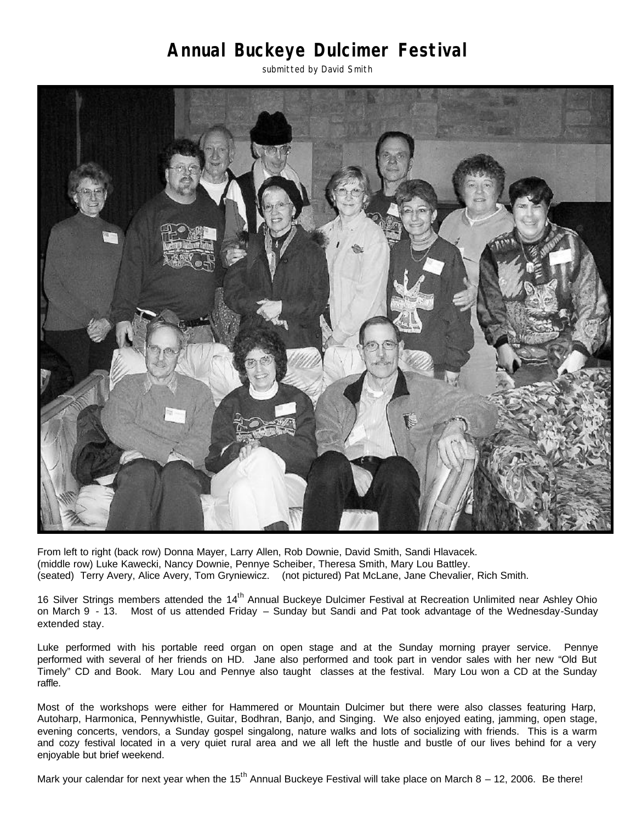# **Annual Buckeye Dulcimer Festival**

submitted by David Smith



From left to right (back row) Donna Mayer, Larry Allen, Rob Downie, David Smith, Sandi Hlavacek. (middle row) Luke Kawecki, Nancy Downie, Pennye Scheiber, Theresa Smith, Mary Lou Battley. (seated) Terry Avery, Alice Avery, Tom Gryniewicz. (not pictured) Pat McLane, Jane Chevalier, Rich Smith.

16 Silver Strings members attended the 14<sup>th</sup> Annual Buckeye Dulcimer Festival at Recreation Unlimited near Ashley Ohio on March 9 - 13. Most of us attended Friday – Sunday but Sandi and Pat took advantage of the Wednesday-Sunday extended stay.

Luke performed with his portable reed organ on open stage and at the Sunday morning prayer service. Pennye performed with several of her friends on HD. Jane also performed and took part in vendor sales with her new "Old But Timely" CD and Book. Mary Lou and Pennye also taught classes at the festival. Mary Lou won a CD at the Sunday raffle.

Most of the workshops were either for Hammered or Mountain Dulcimer but there were also classes featuring Harp, Autoharp, Harmonica, Pennywhistle, Guitar, Bodhran, Banjo, and Singing. We also enjoyed eating, jamming, open stage, evening concerts, vendors, a Sunday gospel singalong, nature walks and lots of socializing with friends. This is a warm and cozy festival located in a very quiet rural area and we all left the hustle and bustle of our lives behind for a very enjoyable but brief weekend.

Mark your calendar for next year when the 15<sup>th</sup> Annual Buckeye Festival will take place on March 8 – 12, 2006. Be there!